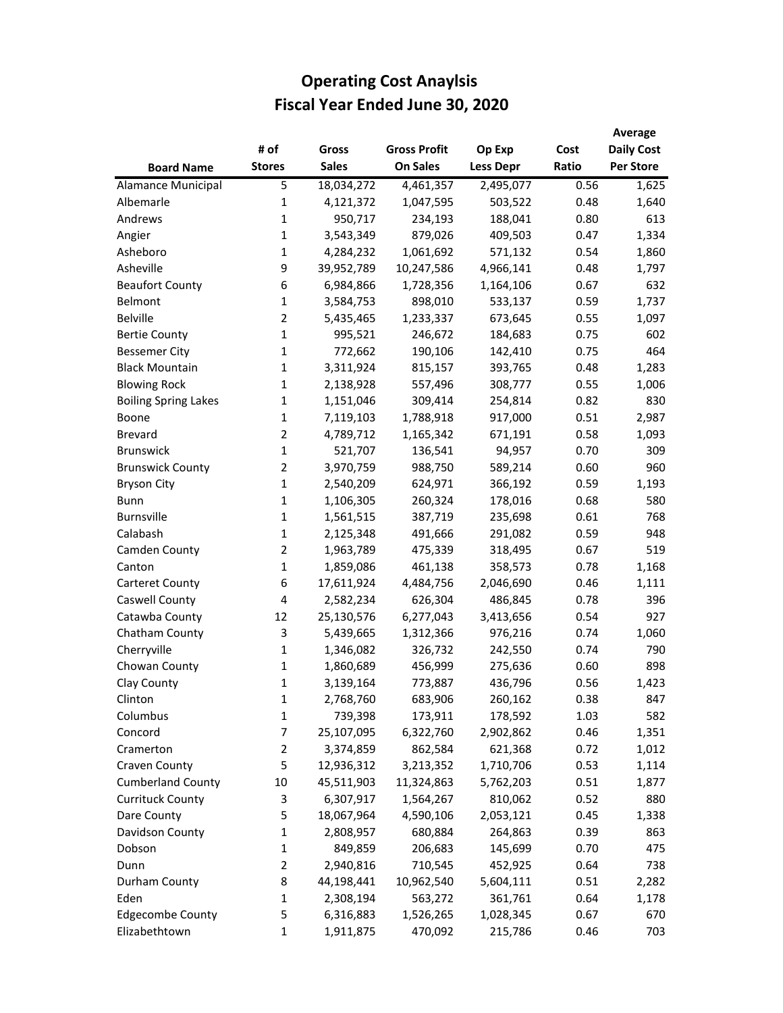|                             |                |              |                     |                  |       | Average           |
|-----------------------------|----------------|--------------|---------------------|------------------|-------|-------------------|
|                             | # of           | Gross        | <b>Gross Profit</b> | Op Exp           | Cost  | <b>Daily Cost</b> |
| <b>Board Name</b>           | <b>Stores</b>  | <b>Sales</b> | <b>On Sales</b>     | <b>Less Depr</b> | Ratio | <b>Per Store</b>  |
| Alamance Municipal          | 5              | 18,034,272   | 4,461,357           | 2,495,077        | 0.56  | 1,625             |
| Albemarle                   | 1              | 4,121,372    | 1,047,595           | 503,522          | 0.48  | 1,640             |
| Andrews                     | $\mathbf{1}$   | 950,717      | 234,193             | 188,041          | 0.80  | 613               |
| Angier                      | $\mathbf{1}$   | 3,543,349    | 879,026             | 409,503          | 0.47  | 1,334             |
| Asheboro                    | 1              | 4,284,232    | 1,061,692           | 571,132          | 0.54  | 1,860             |
| Asheville                   | 9              | 39,952,789   | 10,247,586          | 4,966,141        | 0.48  | 1,797             |
| <b>Beaufort County</b>      | 6              | 6,984,866    | 1,728,356           | 1,164,106        | 0.67  | 632               |
| Belmont                     | $\mathbf{1}$   | 3,584,753    | 898,010             | 533,137          | 0.59  | 1,737             |
| <b>Belville</b>             | $\overline{2}$ | 5,435,465    | 1,233,337           | 673,645          | 0.55  | 1,097             |
| <b>Bertie County</b>        | $\mathbf{1}$   | 995,521      | 246,672             | 184,683          | 0.75  | 602               |
| <b>Bessemer City</b>        | 1              | 772,662      | 190,106             | 142,410          | 0.75  | 464               |
| <b>Black Mountain</b>       | 1              | 3,311,924    | 815,157             | 393,765          | 0.48  | 1,283             |
| <b>Blowing Rock</b>         | $\mathbf{1}$   | 2,138,928    | 557,496             | 308,777          | 0.55  | 1,006             |
| <b>Boiling Spring Lakes</b> | 1              | 1,151,046    | 309,414             | 254,814          | 0.82  | 830               |
| Boone                       | $\mathbf{1}$   | 7,119,103    | 1,788,918           | 917,000          | 0.51  | 2,987             |
| <b>Brevard</b>              | $\overline{2}$ | 4,789,712    | 1,165,342           | 671,191          | 0.58  | 1,093             |
| <b>Brunswick</b>            | $\mathbf{1}$   | 521,707      | 136,541             | 94,957           | 0.70  | 309               |
| <b>Brunswick County</b>     | $\overline{2}$ | 3,970,759    | 988,750             | 589,214          | 0.60  | 960               |
| <b>Bryson City</b>          | $\mathbf{1}$   | 2,540,209    | 624,971             | 366,192          | 0.59  | 1,193             |
| <b>Bunn</b>                 | $\mathbf{1}$   | 1,106,305    | 260,324             | 178,016          | 0.68  | 580               |
| <b>Burnsville</b>           | $\mathbf{1}$   | 1,561,515    | 387,719             | 235,698          | 0.61  | 768               |
| Calabash                    | $\mathbf{1}$   | 2,125,348    | 491,666             | 291,082          | 0.59  | 948               |
| Camden County               | $\overline{2}$ | 1,963,789    | 475,339             | 318,495          | 0.67  | 519               |
| Canton                      | $\mathbf{1}$   | 1,859,086    | 461,138             | 358,573          | 0.78  | 1,168             |
| <b>Carteret County</b>      | 6              | 17,611,924   | 4,484,756           | 2,046,690        | 0.46  | 1,111             |
| Caswell County              | 4              | 2,582,234    | 626,304             | 486,845          | 0.78  | 396               |
| Catawba County              | 12             | 25,130,576   | 6,277,043           | 3,413,656        | 0.54  | 927               |
| Chatham County              | 3              | 5,439,665    | 1,312,366           | 976,216          | 0.74  | 1,060             |
| Cherryville                 | $\mathbf{1}$   | 1,346,082    | 326,732             | 242,550          | 0.74  | 790               |
| Chowan County               | 1              | 1,860,689    | 456,999             | 275,636          | 0.60  | 898               |
| Clay County                 | $\mathbf{1}$   | 3,139,164    | 773,887             | 436,796          | 0.56  | 1,423             |
| Clinton                     | 1              | 2,768,760    | 683,906             | 260,162          | 0.38  | 847               |
| Columbus                    | 1              | 739,398      | 173,911             | 178,592          | 1.03  | 582               |
| Concord                     | $\overline{7}$ | 25,107,095   | 6,322,760           | 2,902,862        | 0.46  | 1,351             |
| Cramerton                   | $\overline{2}$ | 3,374,859    | 862,584             | 621,368          | 0.72  | 1,012             |
| Craven County               | 5              | 12,936,312   | 3,213,352           | 1,710,706        | 0.53  | 1,114             |
| <b>Cumberland County</b>    | 10             | 45,511,903   | 11,324,863          | 5,762,203        | 0.51  | 1,877             |
| <b>Currituck County</b>     | 3              | 6,307,917    | 1,564,267           | 810,062          | 0.52  | 880               |
| Dare County                 | 5              | 18,067,964   | 4,590,106           | 2,053,121        | 0.45  | 1,338             |
| Davidson County             | 1              | 2,808,957    | 680,884             | 264,863          | 0.39  | 863               |
| Dobson                      | $\mathbf{1}$   | 849,859      | 206,683             | 145,699          | 0.70  | 475               |
| Dunn                        | $\overline{2}$ | 2,940,816    | 710,545             | 452,925          | 0.64  | 738               |
| Durham County               | 8              | 44,198,441   | 10,962,540          | 5,604,111        | 0.51  | 2,282             |
| Eden                        | $\mathbf{1}$   | 2,308,194    | 563,272             | 361,761          | 0.64  | 1,178             |
| <b>Edgecombe County</b>     | 5              | 6,316,883    | 1,526,265           | 1,028,345        | 0.67  | 670               |
| Elizabethtown               | 1              | 1,911,875    | 470,092             | 215,786          | 0.46  | 703               |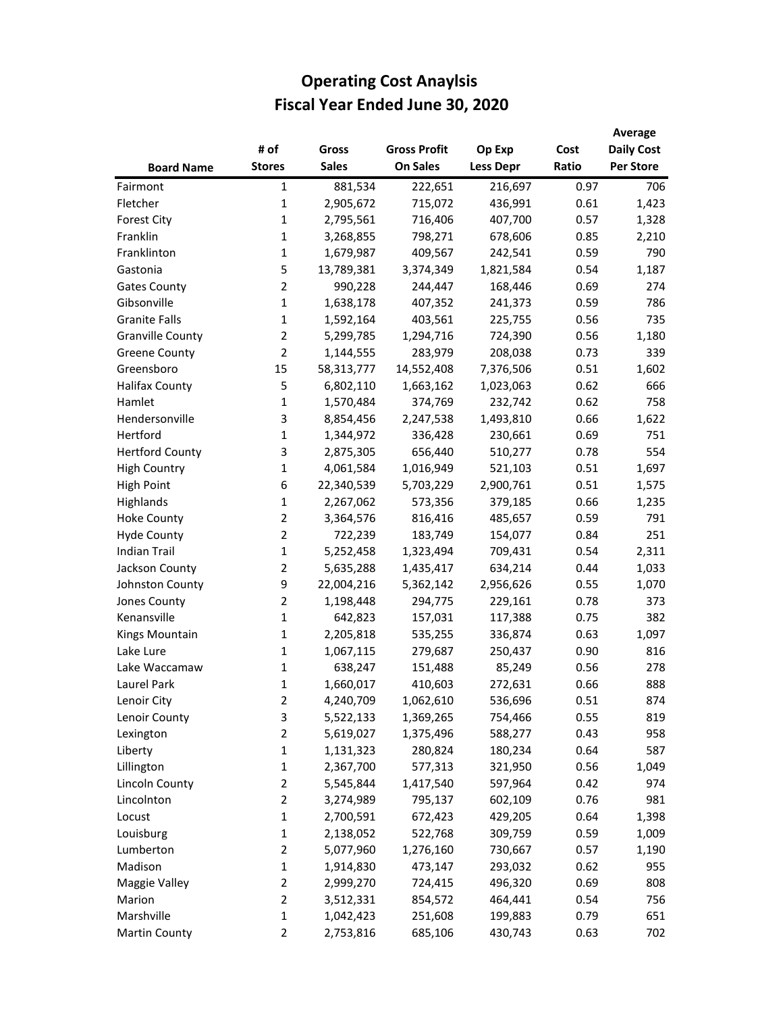|                         |                |              |                     |                  |       | Average           |
|-------------------------|----------------|--------------|---------------------|------------------|-------|-------------------|
|                         | # of           | <b>Gross</b> | <b>Gross Profit</b> | Op Exp           | Cost  | <b>Daily Cost</b> |
| <b>Board Name</b>       | <b>Stores</b>  | <b>Sales</b> | <b>On Sales</b>     | <b>Less Depr</b> | Ratio | <b>Per Store</b>  |
| Fairmont                | 1              | 881,534      | 222,651             | 216,697          | 0.97  | 706               |
| Fletcher                | $\mathbf{1}$   | 2,905,672    | 715,072             | 436,991          | 0.61  | 1,423             |
| <b>Forest City</b>      | $\mathbf{1}$   | 2,795,561    | 716,406             | 407,700          | 0.57  | 1,328             |
| Franklin                | 1              | 3,268,855    | 798,271             | 678,606          | 0.85  | 2,210             |
| Franklinton             | 1              | 1,679,987    | 409,567             | 242,541          | 0.59  | 790               |
| Gastonia                | 5              | 13,789,381   | 3,374,349           | 1,821,584        | 0.54  | 1,187             |
| <b>Gates County</b>     | $\overline{2}$ | 990,228      | 244,447             | 168,446          | 0.69  | 274               |
| Gibsonville             | $\mathbf{1}$   | 1,638,178    | 407,352             | 241,373          | 0.59  | 786               |
| <b>Granite Falls</b>    | $\mathbf{1}$   | 1,592,164    | 403,561             | 225,755          | 0.56  | 735               |
| <b>Granville County</b> | $\overline{2}$ | 5,299,785    | 1,294,716           | 724,390          | 0.56  | 1,180             |
| <b>Greene County</b>    | $\overline{2}$ | 1,144,555    | 283,979             | 208,038          | 0.73  | 339               |
| Greensboro              | 15             | 58,313,777   | 14,552,408          | 7,376,506        | 0.51  | 1,602             |
| <b>Halifax County</b>   | 5              | 6,802,110    | 1,663,162           | 1,023,063        | 0.62  | 666               |
| Hamlet                  | 1              | 1,570,484    | 374,769             | 232,742          | 0.62  | 758               |
| Hendersonville          | 3              | 8,854,456    | 2,247,538           | 1,493,810        | 0.66  | 1,622             |
| Hertford                | 1              | 1,344,972    | 336,428             | 230,661          | 0.69  | 751               |
| <b>Hertford County</b>  | 3              | 2,875,305    | 656,440             | 510,277          | 0.78  | 554               |
| <b>High Country</b>     | $\mathbf{1}$   | 4,061,584    | 1,016,949           | 521,103          | 0.51  | 1,697             |
| <b>High Point</b>       | 6              | 22,340,539   | 5,703,229           | 2,900,761        | 0.51  | 1,575             |
| Highlands               | $\mathbf{1}$   | 2,267,062    | 573,356             | 379,185          | 0.66  | 1,235             |
| <b>Hoke County</b>      | $\overline{2}$ | 3,364,576    | 816,416             | 485,657          | 0.59  | 791               |
| <b>Hyde County</b>      | $\overline{2}$ | 722,239      | 183,749             | 154,077          | 0.84  | 251               |
| <b>Indian Trail</b>     | $\mathbf{1}$   | 5,252,458    | 1,323,494           | 709,431          | 0.54  | 2,311             |
| Jackson County          | $\overline{2}$ | 5,635,288    | 1,435,417           | 634,214          | 0.44  | 1,033             |
| Johnston County         | 9              | 22,004,216   | 5,362,142           | 2,956,626        | 0.55  | 1,070             |
| Jones County            | $\overline{2}$ | 1,198,448    | 294,775             | 229,161          | 0.78  | 373               |
| Kenansville             | $\mathbf{1}$   | 642,823      | 157,031             | 117,388          | 0.75  | 382               |
| Kings Mountain          | 1              | 2,205,818    | 535,255             | 336,874          | 0.63  | 1,097             |
| Lake Lure               | 1              | 1,067,115    | 279,687             | 250,437          | 0.90  | 816               |
| Lake Waccamaw           | 1              | 638,247      | 151,488             | 85,249           | 0.56  | 278               |
| Laurel Park             | $\mathbf{1}$   | 1,660,017    | 410,603             | 272,631          | 0.66  | 888               |
| Lenoir City             | 2              | 4,240,709    | 1,062,610           | 536,696          | 0.51  | 874               |
| Lenoir County           | 3              | 5,522,133    | 1,369,265           | 754,466          | 0.55  | 819               |
| Lexington               | $\overline{2}$ | 5,619,027    | 1,375,496           | 588,277          | 0.43  | 958               |
| Liberty                 | 1              | 1,131,323    | 280,824             | 180,234          | 0.64  | 587               |
| Lillington              | 1              | 2,367,700    | 577,313             | 321,950          | 0.56  | 1,049             |
| Lincoln County          | $\overline{2}$ | 5,545,844    | 1,417,540           | 597,964          | 0.42  | 974               |
| Lincolnton              | $\overline{2}$ | 3,274,989    | 795,137             | 602,109          | 0.76  | 981               |
| Locust                  | $\mathbf{1}$   | 2,700,591    | 672,423             | 429,205          | 0.64  | 1,398             |
| Louisburg               | $\mathbf{1}$   | 2,138,052    | 522,768             | 309,759          | 0.59  | 1,009             |
| Lumberton               | $\overline{2}$ | 5,077,960    | 1,276,160           | 730,667          | 0.57  | 1,190             |
| Madison                 | 1              | 1,914,830    | 473,147             | 293,032          | 0.62  | 955               |
| Maggie Valley           | $\overline{2}$ | 2,999,270    | 724,415             | 496,320          | 0.69  | 808               |
| Marion                  | $\overline{2}$ | 3,512,331    | 854,572             | 464,441          | 0.54  | 756               |
| Marshville              | $\mathbf{1}$   | 1,042,423    | 251,608             | 199,883          | 0.79  | 651               |
| <b>Martin County</b>    | $\overline{2}$ | 2,753,816    | 685,106             | 430,743          | 0.63  | 702               |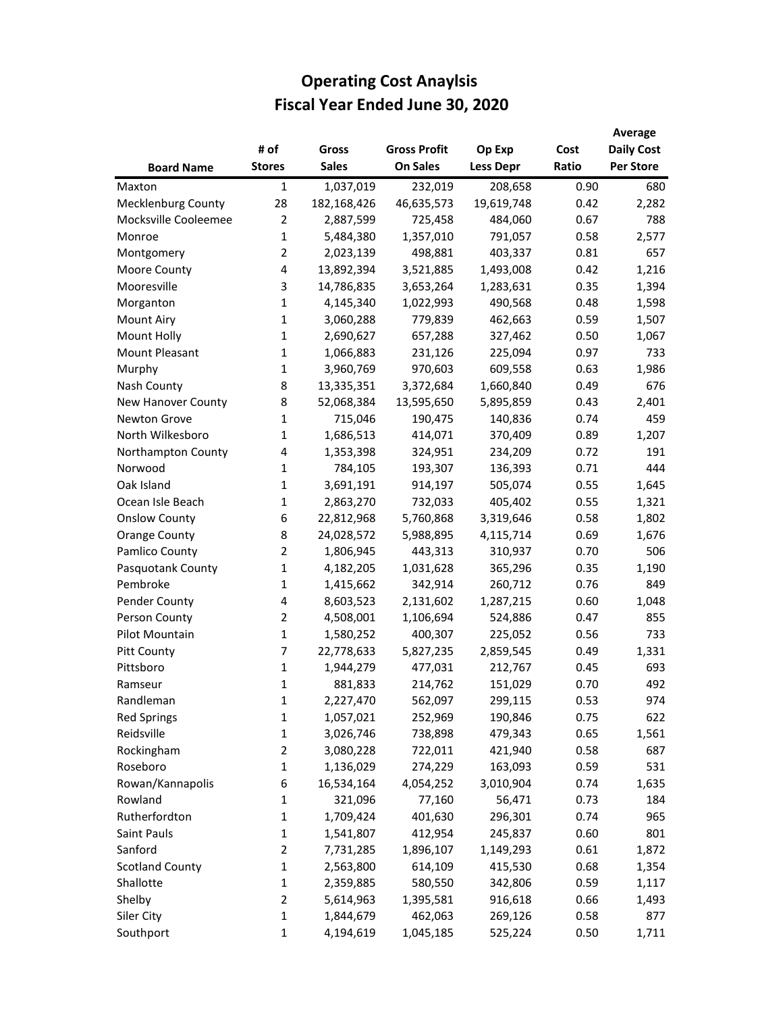|                           |                |              |                     |                  |       | Average           |
|---------------------------|----------------|--------------|---------------------|------------------|-------|-------------------|
|                           | # of           | Gross        | <b>Gross Profit</b> | Op Exp           | Cost  | <b>Daily Cost</b> |
| <b>Board Name</b>         | <b>Stores</b>  | <b>Sales</b> | <b>On Sales</b>     | <b>Less Depr</b> | Ratio | <b>Per Store</b>  |
| Maxton                    | $\mathbf{1}$   | 1,037,019    | 232,019             | 208,658          | 0.90  | 680               |
| <b>Mecklenburg County</b> | 28             | 182,168,426  | 46,635,573          | 19,619,748       | 0.42  | 2,282             |
| Mocksville Cooleemee      | $\overline{2}$ | 2,887,599    | 725,458             | 484,060          | 0.67  | 788               |
| Monroe                    | $\mathbf{1}$   | 5,484,380    | 1,357,010           | 791,057          | 0.58  | 2,577             |
| Montgomery                | $\overline{2}$ | 2,023,139    | 498,881             | 403,337          | 0.81  | 657               |
| Moore County              | 4              | 13,892,394   | 3,521,885           | 1,493,008        | 0.42  | 1,216             |
| Mooresville               | 3              | 14,786,835   | 3,653,264           | 1,283,631        | 0.35  | 1,394             |
| Morganton                 | $\mathbf{1}$   | 4,145,340    | 1,022,993           | 490,568          | 0.48  | 1,598             |
| <b>Mount Airy</b>         | 1              | 3,060,288    | 779,839             | 462,663          | 0.59  | 1,507             |
| Mount Holly               | 1              | 2,690,627    | 657,288             | 327,462          | 0.50  | 1,067             |
| Mount Pleasant            | 1              | 1,066,883    | 231,126             | 225,094          | 0.97  | 733               |
| Murphy                    | $\mathbf{1}$   | 3,960,769    | 970,603             | 609,558          | 0.63  | 1,986             |
| Nash County               | 8              | 13,335,351   | 3,372,684           | 1,660,840        | 0.49  | 676               |
| New Hanover County        | 8              | 52,068,384   | 13,595,650          | 5,895,859        | 0.43  | 2,401             |
| <b>Newton Grove</b>       | $\mathbf{1}$   | 715,046      | 190,475             | 140,836          | 0.74  | 459               |
| North Wilkesboro          | 1              | 1,686,513    | 414,071             | 370,409          | 0.89  | 1,207             |
| Northampton County        | 4              | 1,353,398    | 324,951             | 234,209          | 0.72  | 191               |
| Norwood                   | $\mathbf{1}$   | 784,105      | 193,307             | 136,393          | 0.71  | 444               |
| Oak Island                | $\mathbf{1}$   | 3,691,191    | 914,197             | 505,074          | 0.55  | 1,645             |
| Ocean Isle Beach          | $\mathbf{1}$   | 2,863,270    | 732,033             | 405,402          | 0.55  | 1,321             |
| <b>Onslow County</b>      | 6              | 22,812,968   | 5,760,868           | 3,319,646        | 0.58  | 1,802             |
| <b>Orange County</b>      | 8              | 24,028,572   | 5,988,895           | 4,115,714        | 0.69  | 1,676             |
| Pamlico County            | 2              | 1,806,945    | 443,313             | 310,937          | 0.70  | 506               |
| Pasquotank County         | 1              | 4,182,205    | 1,031,628           | 365,296          | 0.35  | 1,190             |
| Pembroke                  | $\mathbf{1}$   | 1,415,662    | 342,914             | 260,712          | 0.76  | 849               |
| Pender County             | 4              | 8,603,523    | 2,131,602           | 1,287,215        | 0.60  | 1,048             |
| Person County             | $\overline{2}$ | 4,508,001    | 1,106,694           | 524,886          | 0.47  | 855               |
| Pilot Mountain            | $\mathbf{1}$   | 1,580,252    | 400,307             | 225,052          | 0.56  | 733               |
| Pitt County               | 7              | 22,778,633   | 5,827,235           | 2,859,545        | 0.49  | 1,331             |
| Pittsboro                 | 1              | 1,944,279    | 477,031             | 212,767          | 0.45  | 693               |
| Ramseur                   | 1              | 881,833      | 214,762             | 151,029          | 0.70  | 492               |
| Randleman                 | 1              | 2,227,470    | 562,097             | 299,115          | 0.53  | 974               |
| <b>Red Springs</b>        | 1              | 1,057,021    | 252,969             | 190,846          | 0.75  | 622               |
| Reidsville                | $\mathbf{1}$   | 3,026,746    | 738,898             | 479,343          | 0.65  | 1,561             |
| Rockingham                | 2              | 3,080,228    | 722,011             | 421,940          | 0.58  | 687               |
| Roseboro                  | 1              | 1,136,029    | 274,229             | 163,093          | 0.59  | 531               |
| Rowan/Kannapolis          | 6              | 16,534,164   | 4,054,252           | 3,010,904        | 0.74  | 1,635             |
| Rowland                   | 1              | 321,096      | 77,160              | 56,471           | 0.73  | 184               |
| Rutherfordton             | $\mathbf 1$    | 1,709,424    | 401,630             | 296,301          | 0.74  | 965               |
| Saint Pauls               | $\mathbf 1$    | 1,541,807    | 412,954             | 245,837          | 0.60  | 801               |
| Sanford                   | 2              | 7,731,285    | 1,896,107           | 1,149,293        | 0.61  | 1,872             |
| <b>Scotland County</b>    | 1              | 2,563,800    | 614,109             | 415,530          | 0.68  | 1,354             |
| Shallotte                 | $\mathbf{1}$   | 2,359,885    | 580,550             | 342,806          | 0.59  | 1,117             |
| Shelby                    | $\overline{2}$ | 5,614,963    | 1,395,581           | 916,618          | 0.66  | 1,493             |
| Siler City                | $\mathbf{1}$   | 1,844,679    | 462,063             | 269,126          | 0.58  | 877               |
| Southport                 | $\mathbf{1}$   | 4,194,619    | 1,045,185           | 525,224          | 0.50  | 1,711             |